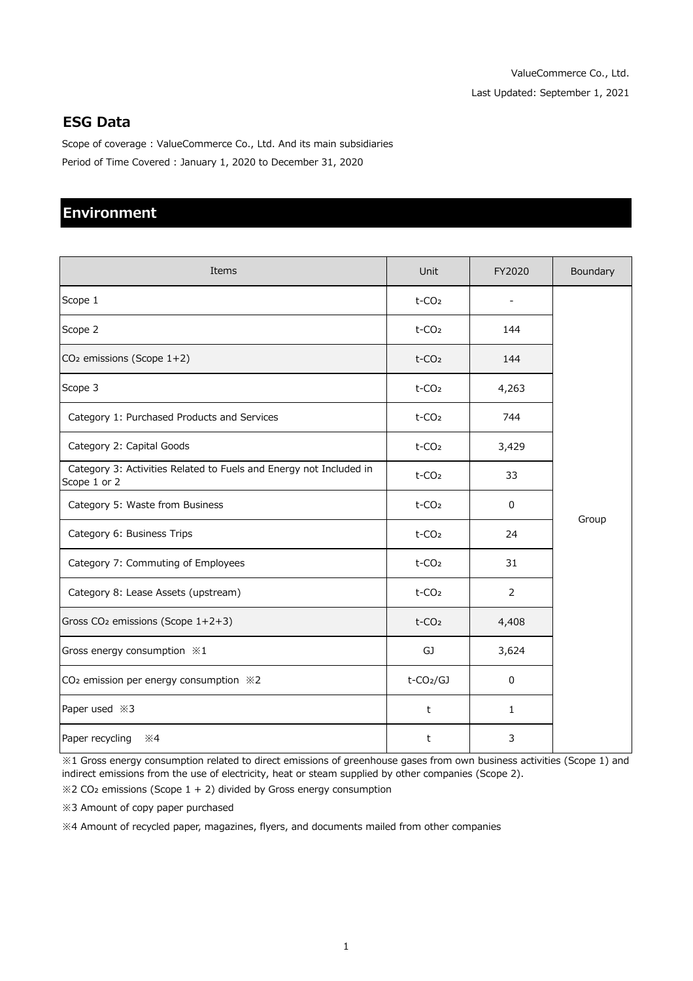## **ESG Data**

Scope of coverage : ValueCommerce Co., Ltd. And its main subsidiaries Period of Time Covered : January 1, 2020 to December 31, 2020

## **Environment**

| Items                                                                              | Unit                     | FY2020         | Boundary |
|------------------------------------------------------------------------------------|--------------------------|----------------|----------|
| Scope 1                                                                            | $t$ -CO <sub>2</sub>     |                |          |
| Scope 2                                                                            | $t$ -CO <sub>2</sub>     | 144            |          |
| CO <sub>2</sub> emissions (Scope 1+2)                                              | t-CO <sub>2</sub>        | 144            |          |
| Scope 3                                                                            | t-CO <sub>2</sub>        | 4,263          |          |
| Category 1: Purchased Products and Services                                        | t-CO <sub>2</sub>        | 744            |          |
| Category 2: Capital Goods                                                          | $t$ -CO <sub>2</sub>     | 3,429          |          |
| Category 3: Activities Related to Fuels and Energy not Included in<br>Scope 1 or 2 | t-CO <sub>2</sub>        | 33             |          |
| Category 5: Waste from Business                                                    | t-CO <sub>2</sub>        | 0              |          |
| Category 6: Business Trips                                                         | t-CO <sub>2</sub>        | 24             | Group    |
| Category 7: Commuting of Employees                                                 | t-CO <sub>2</sub>        | 31             |          |
| Category 8: Lease Assets (upstream)                                                | $t$ -CO <sub>2</sub>     | $\overline{2}$ |          |
| Gross CO <sub>2</sub> emissions (Scope 1+2+3)                                      | $t$ -CO <sub>2</sub>     | 4,408          |          |
| Gross energy consumption $*1$                                                      | GJ                       | 3,624          |          |
| CO <sub>2</sub> emission per energy consumption $\divideontimes$ 2                 | $t$ -CO <sub>2</sub> /GJ | $\mathbf 0$    |          |
| Paper used $\divideontimes$ 3                                                      | t                        | $\mathbf{1}$   |          |
| Paper recycling<br>$\divideontimes$ 4                                              | t                        | 3              |          |

 $%1$  Gross energy consumption related to direct emissions of greenhouse gases from own business activities (Scope 1) and indirect emissions from the use of electricity, heat or steam supplied by other companies (Scope 2).

 $\divideontimes$ 2 CO<sub>2</sub> emissions (Scope 1 + 2) divided by Gross energy consumption

 $%3$  Amount of copy paper purchased

 $\%$ 4 Amount of recycled paper, magazines, flyers, and documents mailed from other companies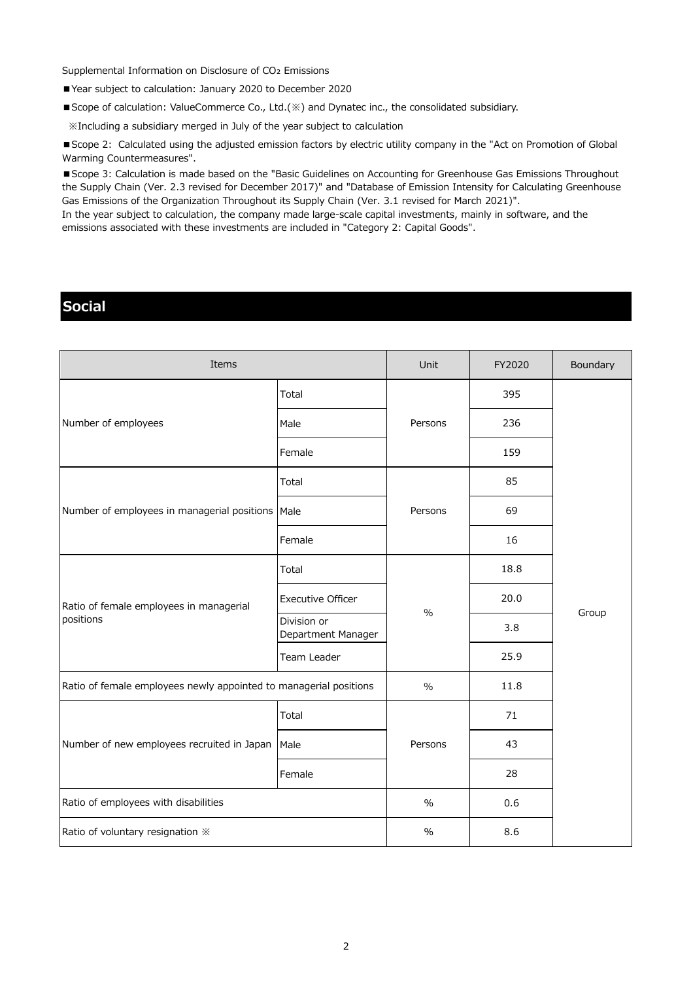Supplemental Information on Disclosure of CO<sub>2</sub> Emissions

■ Year subject to calculation: January 2020 to December 2020

■ Scope of calculation: ValueCommerce Co., Ltd.(※) and Dynatec inc., the consolidated subsidiary.

 $\mathbb X$ Including a subsidiary merged in July of the year subject to calculation

■ Scope 2: Calculated using the adjusted emission factors by electric utility company in the "Act on Promotion of Global Warming Countermeasures".

■ Scope 3: Calculation is made based on the "Basic Guidelines on Accounting for Greenhouse Gas Emissions Throughout the Supply Chain (Ver. 2.3 revised for December 2017)" and "Database of Emission Intensity for Calculating Greenhouse Gas Emissions of the Organization Throughout its Supply Chain (Ver. 3.1 revised for March 2021)".

In the year subject to calculation, the company made large-scale capital investments, mainly in software, and the emissions associated with these investments are included in "Category 2: Capital Goods".

## **Social**

| Items                                                             |                                   | Unit          | FY2020 | Boundary |
|-------------------------------------------------------------------|-----------------------------------|---------------|--------|----------|
| Number of employees                                               | Total                             | Persons       | 395    |          |
|                                                                   | Male                              |               | 236    |          |
|                                                                   | Female                            |               | 159    |          |
| Number of employees in managerial positions                       | Total                             | Persons       | 85     | Group    |
|                                                                   | Male                              |               | 69     |          |
|                                                                   | Female                            |               | 16     |          |
| Ratio of female employees in managerial<br>positions              | Total                             | $\frac{0}{0}$ | 18.8   |          |
|                                                                   | <b>Executive Officer</b>          |               | 20.0   |          |
|                                                                   | Division or<br>Department Manager |               | 3.8    |          |
|                                                                   | Team Leader                       |               | 25.9   |          |
| Ratio of female employees newly appointed to managerial positions |                                   | $\%$          | 11.8   |          |
| Number of new employees recruited in Japan                        | Total                             |               | 71     |          |
|                                                                   | Male                              | Persons       | 43     |          |
|                                                                   | Female                            |               | 28     |          |
| Ratio of employees with disabilities                              |                                   | $\%$          | 0.6    |          |
| Ratio of voluntary resignation *                                  |                                   | $\%$          | 8.6    |          |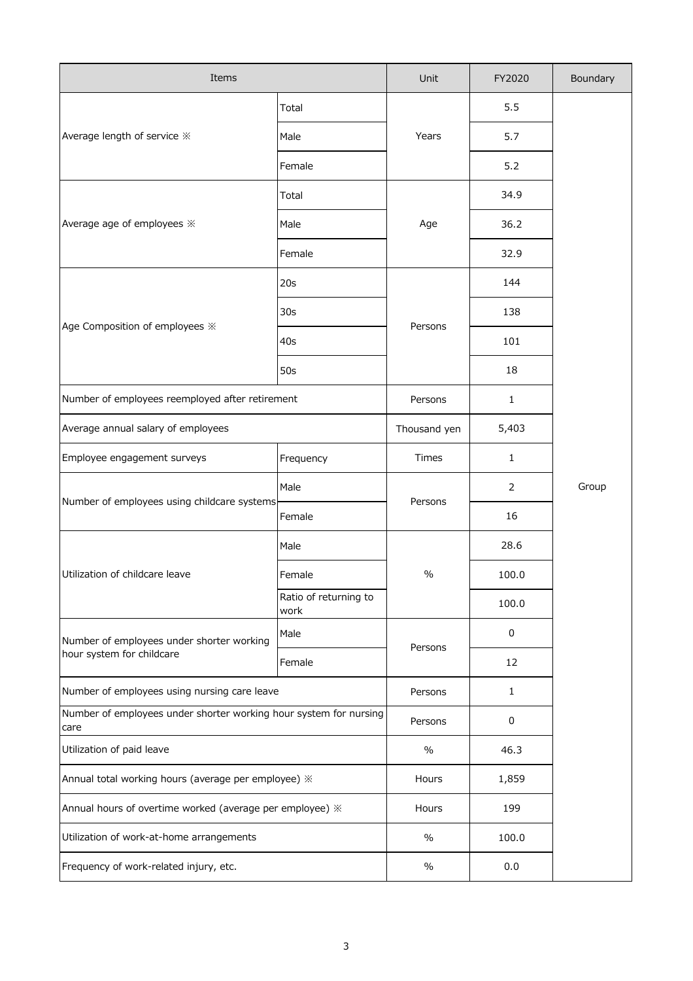| Items                                                                     |                               | Unit         | FY2020 | Boundary |
|---------------------------------------------------------------------------|-------------------------------|--------------|--------|----------|
| Average length of service *                                               | Total                         | Years        | 5.5    |          |
|                                                                           | Male                          |              | 5.7    |          |
|                                                                           | Female                        |              | 5.2    |          |
|                                                                           | Total                         |              | 34.9   |          |
| Average age of employees $\divideontimes$                                 | Male                          | Age          | 36.2   |          |
|                                                                           | Female                        |              | 32.9   |          |
|                                                                           | 20s                           |              | 144    |          |
|                                                                           | 30 <sub>s</sub>               |              | 138    |          |
| Age Composition of employees *                                            | 40s                           | Persons      | 101    |          |
|                                                                           | 50s                           |              | 18     |          |
| Number of employees reemployed after retirement                           |                               | Persons      | 1      |          |
| Average annual salary of employees                                        |                               | Thousand yen | 5,403  |          |
| Employee engagement surveys                                               | Frequency                     | Times        | 1      |          |
|                                                                           | Male                          | Persons      | 2      | Group    |
| Number of employees using childcare systems                               | Female                        |              | 16     |          |
|                                                                           | Male                          | $\%$         | 28.6   |          |
| Utilization of childcare leave                                            | Female                        |              | 100.0  |          |
|                                                                           | Ratio of returning to<br>work |              |        | 100.0    |
| Number of employees under shorter working                                 | Male                          | Persons      | 0      |          |
| hour system for childcare                                                 | Female                        |              | 12     |          |
| Number of employees using nursing care leave                              |                               | Persons      | 1      |          |
| Number of employees under shorter working hour system for nursing<br>care |                               | Persons      | 0      |          |
| Utilization of paid leave                                                 |                               | $\%$         | 46.3   |          |
| Annual total working hours (average per employee) »                       |                               | Hours        | 1,859  |          |
| Annual hours of overtime worked (average per employee) $\divideontimes$   |                               | Hours        | 199    |          |
| Utilization of work-at-home arrangements                                  |                               | $\%$         | 100.0  |          |
| Frequency of work-related injury, etc.                                    |                               | $\%$         | 0.0    |          |